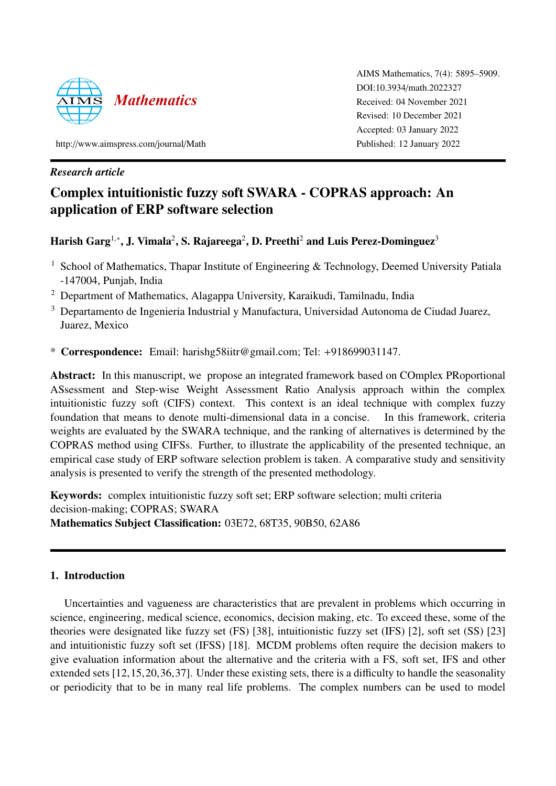

AIMS Mathematics, 7(4): 5895–5909. DOI:10.3934/[math.2022327](http://dx.doi.org/10.3934/math.2022327) Received: 04 November 2021 Revised: 10 December 2021 Accepted: 03 January 2022 Published: 12 January 2022

http://[www.aimspress.com](http://www.aimspress.com/journal/Math)/journal/Math

# *Research article*

# Complex intuitionistic fuzzy soft SWARA - COPRAS approach: An application of ERP software selection

Harish Garg $^{1,\ast}$ , J. Vimala $^2$ , S. Rajareega $^2$ , D. Preethi $^2$  and Luis Perez-Dominguez $^3$ 

- <sup>1</sup> School of Mathematics, Thapar Institute of Engineering & Technology, Deemed University Patiala -147004, Punjab, India
- <sup>2</sup> Department of Mathematics, Alagappa University, Karaikudi, Tamilnadu, India
- <sup>3</sup> Departamento de Ingenieria Industrial y Manufactura, Universidad Autonoma de Ciudad Juarez, Juarez, Mexico
- \* Correspondence: Email: harishg58iitr@gmail.com; Tel: +918699031147.

Abstract: In this manuscript, we propose an integrated framework based on COmplex PRoportional ASsessment and Step-wise Weight Assessment Ratio Analysis approach within the complex intuitionistic fuzzy soft (CIFS) context. This context is an ideal technique with complex fuzzy foundation that means to denote multi-dimensional data in a concise. In this framework, criteria weights are evaluated by the SWARA technique, and the ranking of alternatives is determined by the COPRAS method using CIFSs. Further, to illustrate the applicability of the presented technique, an empirical case study of ERP software selection problem is taken. A comparative study and sensitivity analysis is presented to verify the strength of the presented methodology.

Keywords: complex intuitionistic fuzzy soft set; ERP software selection; multi criteria decision-making; COPRAS; SWARA Mathematics Subject Classification: 03E72, 68T35, 90B50, 62A86

# 1. Introduction

Uncertainties and vagueness are characteristics that are prevalent in problems which occurring in science, engineering, medical science, economics, decision making, etc. To exceed these, some of the theories were designated like fuzzy set (FS) [\[38\]](#page-14-0), intuitionistic fuzzy set (IFS) [\[2\]](#page-12-0), soft set (SS) [\[23\]](#page-13-0) and intuitionistic fuzzy soft set (IFSS) [\[18\]](#page-13-1). MCDM problems often require the decision makers to give evaluation information about the alternative and the criteria with a FS, soft set, IFS and other extended sets [\[12,](#page-13-2)[15,](#page-13-3)[20,](#page-13-4)[36,](#page-14-1)[37\]](#page-14-2). Under these existing sets, there is a difficulty to handle the seasonality or periodicity that to be in many real life problems. The complex numbers can be used to model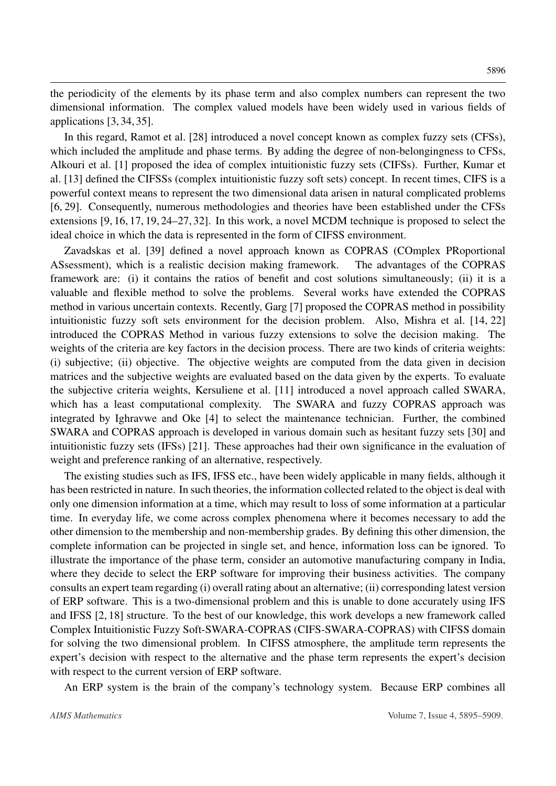the periodicity of the elements by its phase term and also complex numbers can represent the two dimensional information. The complex valued models have been widely used in various fields of applications [\[3,](#page-12-1) [34,](#page-14-3) [35\]](#page-14-4).

In this regard, Ramot et al. [\[28\]](#page-14-5) introduced a novel concept known as complex fuzzy sets (CFSs), which included the amplitude and phase terms. By adding the degree of non-belongingness to CFSs, Alkouri et al. [\[1\]](#page-12-2) proposed the idea of complex intuitionistic fuzzy sets (CIFSs). Further, Kumar et al. [\[13\]](#page-13-5) defined the CIFSSs (complex intuitionistic fuzzy soft sets) concept. In recent times, CIFS is a powerful context means to represent the two dimensional data arisen in natural complicated problems [\[6,](#page-12-3) [29\]](#page-14-6). Consequently, numerous methodologies and theories have been established under the CFSs extensions [\[9,](#page-12-4) [16,](#page-13-6) [17,](#page-13-7) [19,](#page-13-8) [24](#page-13-9)[–27,](#page-14-7) [32\]](#page-14-8). In this work, a novel MCDM technique is proposed to select the ideal choice in which the data is represented in the form of CIFSS environment.

Zavadskas et al. [\[39\]](#page-14-9) defined a novel approach known as COPRAS (COmplex PRoportional ASsessment), which is a realistic decision making framework. The advantages of the COPRAS framework are: (i) it contains the ratios of benefit and cost solutions simultaneously; (ii) it is a valuable and flexible method to solve the problems. Several works have extended the COPRAS method in various uncertain contexts. Recently, Garg [\[7\]](#page-12-5) proposed the COPRAS method in possibility intuitionistic fuzzy soft sets environment for the decision problem. Also, Mishra et al. [\[14,](#page-13-10) [22\]](#page-13-11) introduced the COPRAS Method in various fuzzy extensions to solve the decision making. The weights of the criteria are key factors in the decision process. There are two kinds of criteria weights: (i) subjective; (ii) objective. The objective weights are computed from the data given in decision matrices and the subjective weights are evaluated based on the data given by the experts. To evaluate the subjective criteria weights, Kersuliene et al. [\[11\]](#page-12-6) introduced a novel approach called SWARA, which has a least computational complexity. The SWARA and fuzzy COPRAS approach was integrated by Ighravwe and Oke [\[4\]](#page-12-7) to select the maintenance technician. Further, the combined SWARA and COPRAS approach is developed in various domain such as hesitant fuzzy sets [\[30\]](#page-14-10) and intuitionistic fuzzy sets (IFSs) [\[21\]](#page-13-12). These approaches had their own significance in the evaluation of weight and preference ranking of an alternative, respectively.

The existing studies such as IFS, IFSS etc., have been widely applicable in many fields, although it has been restricted in nature. In such theories, the information collected related to the object is deal with only one dimension information at a time, which may result to loss of some information at a particular time. In everyday life, we come across complex phenomena where it becomes necessary to add the other dimension to the membership and non-membership grades. By defining this other dimension, the complete information can be projected in single set, and hence, information loss can be ignored. To illustrate the importance of the phase term, consider an automotive manufacturing company in India, where they decide to select the ERP software for improving their business activities. The company consults an expert team regarding (i) overall rating about an alternative; (ii) corresponding latest version of ERP software. This is a two-dimensional problem and this is unable to done accurately using IFS and IFSS [\[2,](#page-12-0) [18\]](#page-13-1) structure. To the best of our knowledge, this work develops a new framework called Complex Intuitionistic Fuzzy Soft-SWARA-COPRAS (CIFS-SWARA-COPRAS) with CIFSS domain for solving the two dimensional problem. In CIFSS atmosphere, the amplitude term represents the expert's decision with respect to the alternative and the phase term represents the expert's decision with respect to the current version of ERP software.

An ERP system is the brain of the company's technology system. Because ERP combines all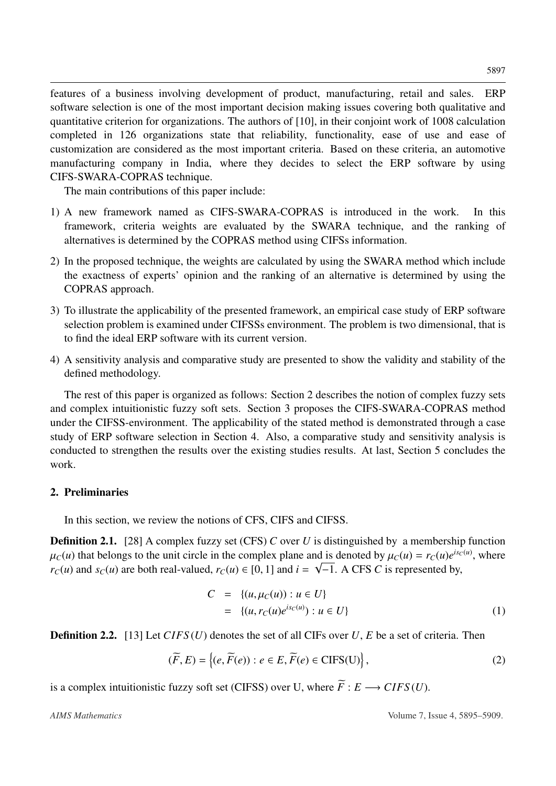features of a business involving development of product, manufacturing, retail and sales. ERP software selection is one of the most important decision making issues covering both qualitative and quantitative criterion for organizations. The authors of [\[10\]](#page-12-8), in their conjoint work of 1008 calculation completed in 126 organizations state that reliability, functionality, ease of use and ease of customization are considered as the most important criteria. Based on these criteria, an automotive manufacturing company in India, where they decides to select the ERP software by using CIFS-SWARA-COPRAS technique.

The main contributions of this paper include:

- 1) A new framework named as CIFS-SWARA-COPRAS is introduced in the work. In this framework, criteria weights are evaluated by the SWARA technique, and the ranking of alternatives is determined by the COPRAS method using CIFSs information.
- 2) In the proposed technique, the weights are calculated by using the SWARA method which include the exactness of experts' opinion and the ranking of an alternative is determined by using the COPRAS approach.
- 3) To illustrate the applicability of the presented framework, an empirical case study of ERP software selection problem is examined under CIFSSs environment. The problem is two dimensional, that is to find the ideal ERP software with its current version.
- 4) A sensitivity analysis and comparative study are presented to show the validity and stability of the defined methodology.

The rest of this paper is organized as follows: Section [2](#page-2-0) describes the notion of complex fuzzy sets and complex intuitionistic fuzzy soft sets. Section [3](#page-3-0) proposes the CIFS-SWARA-COPRAS method under the CIFSS-environment. The applicability of the stated method is demonstrated through a case study of ERP software selection in Section [4.](#page-5-0) Also, a comparative study and sensitivity analysis is conducted to strengthen the results over the existing studies results. At last, Section [5](#page-10-0) concludes the work.

### <span id="page-2-0"></span>2. Preliminaries

In this section, we review the notions of CFS, CIFS and CIFSS.

**Definition 2.1.** [\[28\]](#page-14-5) A complex fuzzy set (CFS) *C* over *U* is distinguished by a membership function  $\mu_C(u)$  that belongs to the unit circle in the complex plane and is denoted by  $\mu_C(u) = r_C(u)e^{is_C(u)}$ , where  $r_C(u)$  and  $s_C(u)$  are both real-valued  $r_C(u) \in [0, 1]$  and  $i = \sqrt{-1}$ . A CES C is represented by *r*<sub>*C*</sub>(*u*) and *s*<sub>*C*</sub>(*u*) are both real-valued, *r*<sub>*C*</sub>(*u*)  $\in$  [0, 1] and *i* =  $\sqrt{-1}$ . A CFS *C* is represented by,

$$
C = \{(u, \mu_C(u)) : u \in U\}
$$
  
= \{(u, r\_C(u)e^{is\_C(u)}) : u \in U\} (1)

Definition 2.2. [\[13\]](#page-13-5) Let *CIFS* (*U*) denotes the set of all CIFs over *U*, *E* be a set of criteria. Then

$$
(\widetilde{F}, E) = \{ (e, \widetilde{F}(e)) : e \in E, \widetilde{F}(e) \in \text{CIFS}(U) \},
$$
\n(2)

is a complex intuitionistic fuzzy soft set (CIFSS) over U, where  $\widetilde{F}: E \longrightarrow CIFS(U)$ .

*AIMS Mathematics* Volume 7, Issue 4, 5895–5909.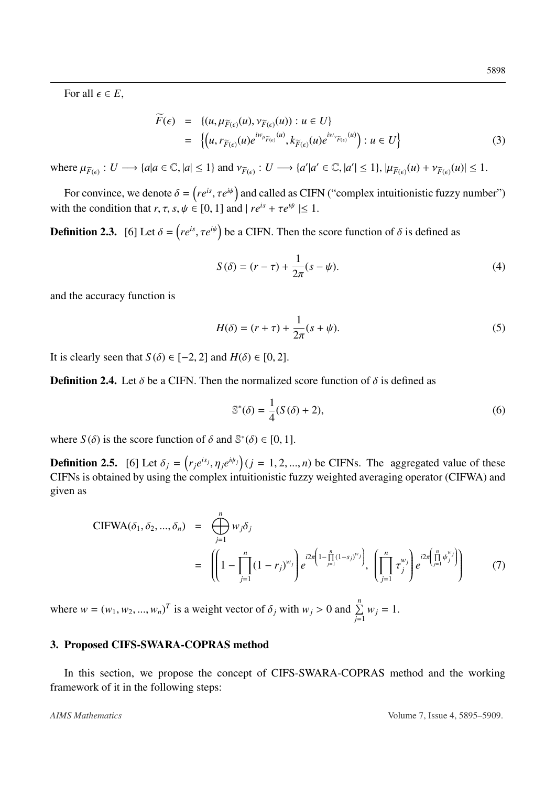For all  $\epsilon \in E$ ,

$$
\widetilde{F}(\epsilon) = \{(u, \mu_{\widetilde{F}(\epsilon)}(u), \nu_{\widetilde{F}(\epsilon)}(u)) : u \in U\}
$$
\n
$$
= \{(u, r_{\widetilde{F}(\epsilon)}(u)e^{iw_{\mu_{\widetilde{F}(\epsilon)}}(u)}, k_{\widetilde{F}(\epsilon)}(u)e^{iw_{\nu_{\widetilde{F}(\epsilon)}}(u)}): u \in U\}
$$
\n(3)

where  $\mu_{\widetilde{F}(\epsilon)} : U \longrightarrow \{a | a \in \mathbb{C}, |a| \leq 1\}$  and  $\nu_{\widetilde{F}(\epsilon)} : U \longrightarrow \{a' | a' \in \mathbb{C}, |a'| \leq 1\}, |\mu_{\widetilde{F}(\epsilon)}(u) + \nu_{\widetilde{F}(\epsilon)}(u)| \leq 1$ .

For convince, we denote  $\delta = (re^{is}, \tau e^{i\psi})$  and called as CIFN ("complex intuitionistic fuzzy number") with the condition that  $r, \tau, s, \psi \in [0, 1]$  and  $|re^{is} + \tau e^{i\psi}| \leq 1$ .

**Definition 2.3.** [\[6\]](#page-12-3) Let  $\delta = (re^{is}, \tau e^{i\psi})$  be a CIFN. Then the score function of  $\delta$  is defined as

$$
S(\delta) = (r - \tau) + \frac{1}{2\pi}(s - \psi).
$$
 (4)

and the accuracy function is

$$
H(\delta) = (r + \tau) + \frac{1}{2\pi}(s + \psi).
$$
\n(5)

It is clearly seen that *S*( $\delta$ )  $\in$  [−2, 2] and *H*( $\delta$ )  $\in$  [0, 2].

<span id="page-3-2"></span>**Definition 2.4.** Let  $\delta$  be a CIFN. Then the normalized score function of  $\delta$  is defined as

$$
\mathbb{S}^*(\delta) = \frac{1}{4}(S(\delta) + 2),\tag{6}
$$

where *S*( $\delta$ ) is the score function of  $\delta$  and  $\mathbb{S}^*(\delta) \in [0, 1]$ .

<span id="page-3-1"></span>**Definition 2.5.** [\[6\]](#page-12-3) Let  $\delta_j = (r_j e^{is_j}, \eta_j e^{i\psi_j})(j = 1, 2, ..., n)$  be CIFNs. The aggregated value of these CIFNs is obtained by using the complex intuitionistic fuzzy weighted averaging operator (CIFWA) and CIFNs is obtained by using the complex intuitionistic fuzzy weighted averaging operator (CIFWA) and given as

CIFWA
$$
(\delta_1, \delta_2, ..., \delta_n)
$$
 =  $\bigoplus_{j=1}^n w_j \delta_j$   
 =  $\left( \left( 1 - \prod_{j=1}^n (1 - r_j)^{w_j} \right) e^{i2\pi \left( 1 - \prod_{j=1}^n (1 - s_j)^{w_j} \right)}, \left( \prod_{j=1}^n \tau_j^{w_j} \right) e^{i2\pi \left( \prod_{j=1}^n \psi_j^{w_j} \right)} \right)$  (7)

where  $w = (w_1, w_2, ..., w_n)^T$  is a weight vector of  $\delta_j$  with  $w_j > 0$  and  $\sum_{j=1}^n w_j = 1$ .

### <span id="page-3-0"></span>3. Proposed CIFS-SWARA-COPRAS method

In this section, we propose the concept of CIFS-SWARA-COPRAS method and the working framework of it in the following steps:

*AIMS Mathematics* Volume 7, Issue 4, 5895–5909.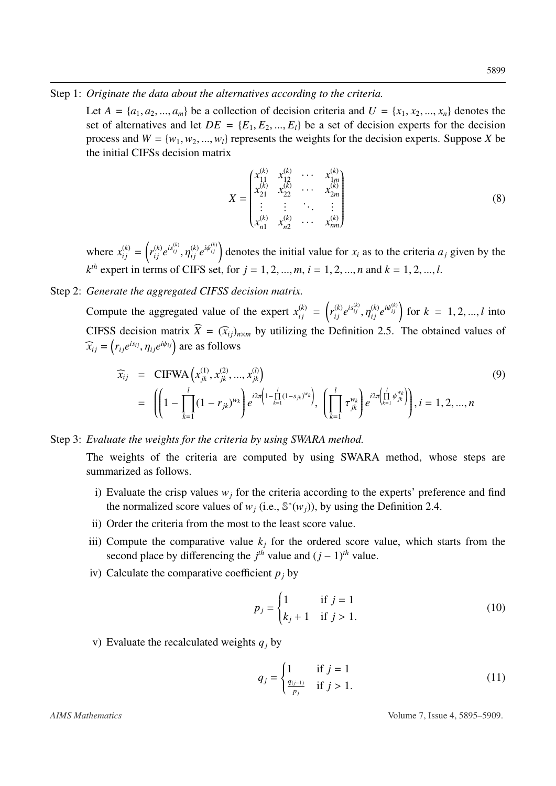### Step 1: *Originate the data about the alternatives according to the criteria.*

Let  $A = \{a_1, a_2, ..., a_m\}$  be a collection of decision criteria and  $U = \{x_1, x_2, ..., x_n\}$  denotes the set of alternatives and let  $DE = \{E_1, E_2, ..., E_l\}$  be a set of decision experts for the decision process and  $W = \{w_1, w_2, ..., w_l\}$  represents the weights for the decision experts. Suppose *X* be the initial CIFSs decision matrix

$$
X = \begin{pmatrix} x_{11}^{(k)} & x_{12}^{(k)} & \cdots & x_{1m}^{(k)} \\ x_{21}^{(k)} & x_{22}^{(k)} & \cdots & x_{2m}^{(k)} \\ \vdots & \vdots & \ddots & \vdots \\ x_{n1}^{(k)} & x_{n2}^{(k)} & \cdots & x_{nm}^{(k)} \end{pmatrix}
$$
 (8)

where  $x_{ij}^{(k)} = \left(r_{ij}^{(k)} e^{is_{ij}^{(k)}}, \eta\right)$  $\binom{k}{i j} e^{i \psi_{ij}^{(k)}}$  denotes the initial value for  $x_i$  as to the criteria  $a_j$  given by the  $k^{th}$  expert in terms of CIFS set, for  $j = 1, 2, ..., m$ ,  $i = 1, 2, ..., n$  and  $k = 1, 2, ..., l$ .

# Step 2: *Generate the aggregated CIFSS decision matrix.*

Compute the aggregated value of the expert  $x_{ij}^{(k)} = \left(r_{ij}^{(k)} e^{is_{ij}^{(k)}}, \eta\right)$  $\binom{k}{i j} e^{i \psi_{ij}^{(k)}}$  for  $k = 1, 2, ..., l$  into CIFSS decision matrix  $\widehat{X} = (\widehat{x}_{ij})_{n \times m}$  by utilizing the Definition [2.5.](#page-3-1) The obtained values of  $\widehat{x}_{ij} = (r_{ij}e^{is_{ij}}, \eta_{ij}e^{i\psi_{ij}})$  are as follows

<span id="page-4-0"></span>
$$
\widehat{x}_{ij} = \text{CIFWA}\left(x_{jk}^{(1)}, x_{jk}^{(2)}, ..., x_{jk}^{(l)}\right)
$$
\n
$$
= \left( \left(1 - \prod_{k=1}^{l} (1 - r_{jk})^{w_k}\right) e^{i2\pi \left(1 - \prod_{k=1}^{l} (1 - s_{jk})^{w_k}\right)}, \left(\prod_{k=1}^{l} \tau_{jk}^{w_k}\right) e^{i2\pi \left(\prod_{k=1}^{l} \psi_{jk}^{w_k}\right)}\right), i = 1, 2, ..., n
$$
\n(9)

### Step 3: *Evaluate the weights for the criteria by using SWARA method.*

The weights of the criteria are computed by using SWARA method, whose steps are summarized as follows.

- i) Evaluate the crisp values  $w_j$  for the criteria according to the experts' preference and find the normalized score values of  $w_j$  (i.e.,  $\mathbb{S}^*(w_j)$ ), by using the Definition [2.4.](#page-3-2)
- ii) Order the criteria from the most to the least score value.
- iii) Compute the comparative value  $k_j$  for the ordered score value, which starts from the second place by differencing the  $j<sup>th</sup>$  value and  $(j - 1)<sup>th</sup>$  value.
- iv) Calculate the comparative coefficient  $p_j$  by

$$
p_j = \begin{cases} 1 & \text{if } j = 1 \\ k_j + 1 & \text{if } j > 1. \end{cases}
$$
 (10)

v) Evaluate the recalculated weights *q<sup>j</sup>* by

$$
q_{j} = \begin{cases} 1 & \text{if } j = 1\\ \frac{q_{(j-1)}}{p_{j}} & \text{if } j > 1. \end{cases}
$$
 (11)

*AIMS Mathematics* Volume 7, Issue 4, 5895–5909.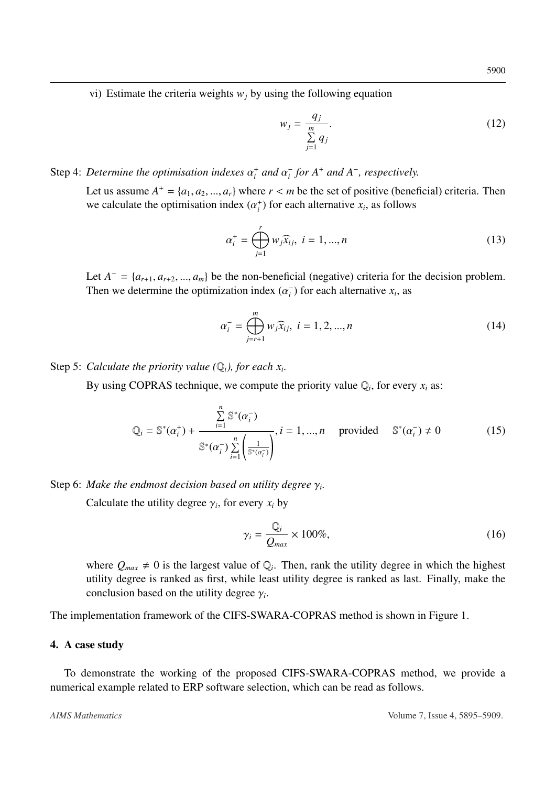vi) Estimate the criteria weights  $w_j$  by using the following equation

$$
w_j = \frac{q_j}{\sum_{j=1}^m q_j}.
$$
\n(12)

### Step 4: *Determine the optimisation indexes*  $\alpha_i^+$  *and*  $\alpha_i^$ *i for A*<sup>+</sup> *and A*<sup>−</sup> *, respectively.*

Let us assume  $A^+ = \{a_1, a_2, ..., a_r\}$  where  $r < m$  be the set of positive (beneficial) criteria. Then<br>we calculate the optimisation index  $(c^+)$  for each alternative  $x$ , as follows we calculate the optimisation index  $(\alpha_i^+)$  for each alternative  $x_i$ , as follows

<span id="page-5-1"></span>
$$
\alpha_i^+ = \bigoplus_{j=1}^r w_j \widehat{x}_{ij}, \ i = 1, ..., n
$$
 (13)

Let *A*<sup>−</sup> = { $a_{r+1}, a_{r+2}, ..., a_m$ } be the non-beneficial (negative) criteria for the decision problem.<br>Then we determine the optimization index ( $\alpha$ <sup>−</sup>) for each alternative x, as Then we determine the optimization index  $(\alpha_i^-)$  $\binom{1}{i}$  for each alternative  $x_i$ , as

<span id="page-5-2"></span>
$$
\alpha_i^- = \bigoplus_{j=r+1}^m w_j \widehat{x}_{ij}, \ i = 1, 2, ..., n
$$
 (14)

Step 5: *Calculate the priority value* ( $\mathbb{Q}_i$ ), for each  $x_i$ .

By using COPRAS technique, we compute the priority value  $\mathbb{Q}_i$ , for every  $x_i$  as:

<span id="page-5-3"></span>
$$
Q_i = \mathbb{S}^*(\alpha_i^+) + \frac{\sum\limits_{i=1}^n \mathbb{S}^*(\alpha_i^-)}{\mathbb{S}^*(\alpha_i^-) \sum\limits_{i=1}^n \left(\frac{1}{\mathbb{S}^*(\alpha_i^-)}\right)}, i = 1, ..., n \quad \text{provided} \quad \mathbb{S}^*(\alpha_i^-) \neq 0 \tag{15}
$$

Step 6: *Make the endmost decision based on utility degree* <sup>γ</sup>*<sup>i</sup> .*

Calculate the utility degree  $\gamma_i$ , for every  $x_i$  by

<span id="page-5-4"></span>
$$
\gamma_i = \frac{\mathbb{Q}_i}{Q_{max}} \times 100\%,\tag{16}
$$

where  $Q_{max} \neq 0$  is the largest value of  $\mathbb{Q}_i$ . Then, rank the utility degree in which the highest utility degree is ranked as first, while least utility degree is ranked as last. Finally, make the conclusion based on the utility degree  $\gamma_i$ .

The implementation framework of the CIFS-SWARA-COPRAS method is shown in Figure [1.](#page-6-0)

### <span id="page-5-0"></span>4. A case study

To demonstrate the working of the proposed CIFS-SWARA-COPRAS method, we provide a numerical example related to ERP software selection, which can be read as follows.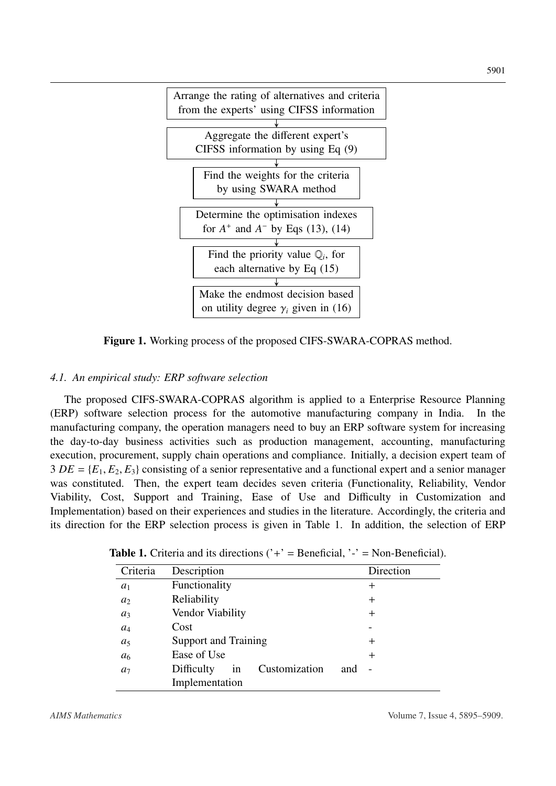<span id="page-6-0"></span>

Figure 1. Working process of the proposed CIFS-SWARA-COPRAS method.

### *4.1. An empirical study: ERP software selection*

The proposed CIFS-SWARA-COPRAS algorithm is applied to a Enterprise Resource Planning (ERP) software selection process for the automotive manufacturing company in India. In the manufacturing company, the operation managers need to buy an ERP software system for increasing the day-to-day business activities such as production management, accounting, manufacturing execution, procurement, supply chain operations and compliance. Initially, a decision expert team of  $3 DE = \{E_1, E_2, E_3\}$  consisting of a senior representative and a functional expert and a senior manager was constituted. Then, the expert team decides seven criteria (Functionality, Reliability, Vendor Viability, Cost, Support and Training, Ease of Use and Difficulty in Customization and Implementation) based on their experiences and studies in the literature. Accordingly, the criteria and its direction for the ERP selection process is given in Table [1.](#page-6-1) In addition, the selection of ERP

| Criteria       | Description                       |     | Direction |
|----------------|-----------------------------------|-----|-----------|
| $a_1$          | Functionality                     |     | $^+$      |
| a <sub>2</sub> | Reliability                       |     | $^+$      |
| $a_3$          | Vendor Viability                  |     | $^+$      |
| $a_4$          | Cost                              |     |           |
| $a_5$          | <b>Support and Training</b>       |     | $^+$      |
| a <sub>6</sub> | Ease of Use                       |     | $^{+}$    |
| a <sub>7</sub> | Customization<br>Difficulty<br>in | and |           |
|                | Implementation                    |     |           |

<span id="page-6-1"></span>**Table 1.** Criteria and its directions  $('+)$  = Beneficial,  $'$  = Non-Beneficial).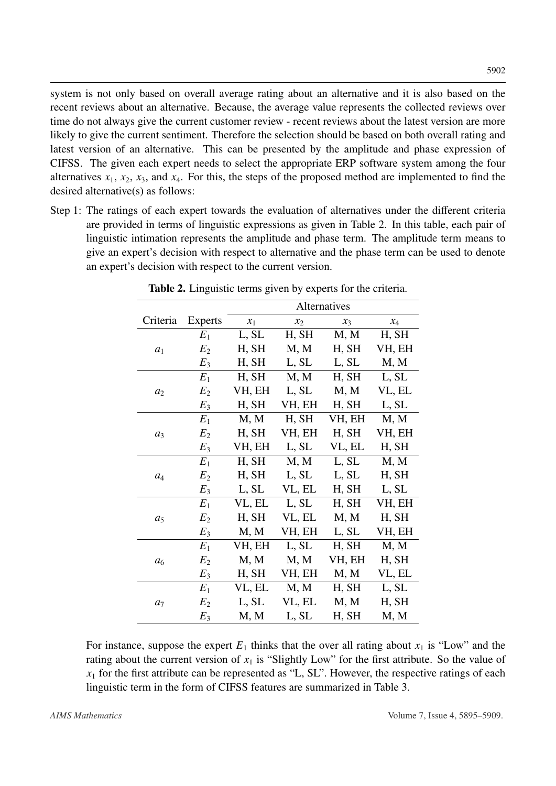system is not only based on overall average rating about an alternative and it is also based on the recent reviews about an alternative. Because, the average value represents the collected reviews over time do not always give the current customer review - recent reviews about the latest version are more likely to give the current sentiment. Therefore the selection should be based on both overall rating and latest version of an alternative. This can be presented by the amplitude and phase expression of CIFSS. The given each expert needs to select the appropriate ERP software system among the four alternatives  $x_1$ ,  $x_2$ ,  $x_3$ , and  $x_4$ . For this, the steps of the proposed method are implemented to find the desired alternative(s) as follows:

<span id="page-7-0"></span>Step 1: The ratings of each expert towards the evaluation of alternatives under the different criteria are provided in terms of linguistic expressions as given in Table [2.](#page-7-0) In this table, each pair of linguistic intimation represents the amplitude and phase term. The amplitude term means to give an expert's decision with respect to alternative and the phase term can be used to denote an expert's decision with respect to the current version.

|                |                | Alternatives |        |        |          |  |  |  |  |
|----------------|----------------|--------------|--------|--------|----------|--|--|--|--|
| Criteria       | Experts        | $x_1$        | $x_2$  | $x_3$  | $\chi_4$ |  |  |  |  |
|                | $E_1$          | L, SL        | H, SH  | M, M   | H, SH    |  |  |  |  |
| $a_1$          | E <sub>2</sub> | H, SH        | M, M   | H, SH  | VH, EH   |  |  |  |  |
|                | $E_3$          | H, SH        | L, SL  | L, SL  | M, M     |  |  |  |  |
|                | $E_1$          | H, SH        | M, M   | H, SH  | L, SL    |  |  |  |  |
| a <sub>2</sub> | $E_2$          | VH, EH       | L, SL  | M, M   | VL, EL   |  |  |  |  |
|                | $E_3$          | H, SH        | VH, EH | H, SH  | L, SL    |  |  |  |  |
|                | $E_1$          | M, M         | H, SH  | VH, EH | M, M     |  |  |  |  |
| $a_3$          | E <sub>2</sub> | H, SH        | VH, EH | H, SH  | VH, EH   |  |  |  |  |
|                | $E_3$          | VH, EH       | L, SL  | VL, EL | H, SH    |  |  |  |  |
|                | $E_1$          | H, SH        | M, M   | L, SL  | M, M     |  |  |  |  |
| $a_4$          | $E_2$          | H, SH        | L, SL  | L, SL  | H, SH    |  |  |  |  |
|                | $E_3$          | L, SL        | VL, EL | H, SH  | L, SL    |  |  |  |  |
|                | $E_1$          | VL, EL       | L, SL  | H, SH  | VH, EH   |  |  |  |  |
| $a_5$          | $E_2$          | H, SH        | VL, EL | M, M   | H, SH    |  |  |  |  |
|                | $E_3$          | M, M         | VH, EH | L, SL  | VH, EH   |  |  |  |  |
|                | $E_1$          | VH, EH       | L, SL  | H, SH  | M, M     |  |  |  |  |
| a <sub>6</sub> | $E_2$          | M, M         | M, M   | VH, EH | H, SH    |  |  |  |  |
|                | $E_3$          | H, SH        | VH, EH | M, M   | VL, EL   |  |  |  |  |
|                | $E_1$          | VL, EL       | M, M   | H, SH  | L, SL    |  |  |  |  |
| a <sub>7</sub> | $E_2$          | L, SL        | VL, EL | M, M   | H, SH    |  |  |  |  |
|                | $E_3$          | M, M         | L, SL  | H, SH  | M, M     |  |  |  |  |

Table 2. Linguistic terms given by experts for the criteria.

For instance, suppose the expert  $E_1$  thinks that the over all rating about  $x_1$  is "Low" and the rating about the current version of  $x_1$  is "Slightly Low" for the first attribute. So the value of  $x_1$  for the first attribute can be represented as "L, SL". However, the respective ratings of each linguistic term in the form of CIFSS features are summarized in Table [3.](#page-8-0)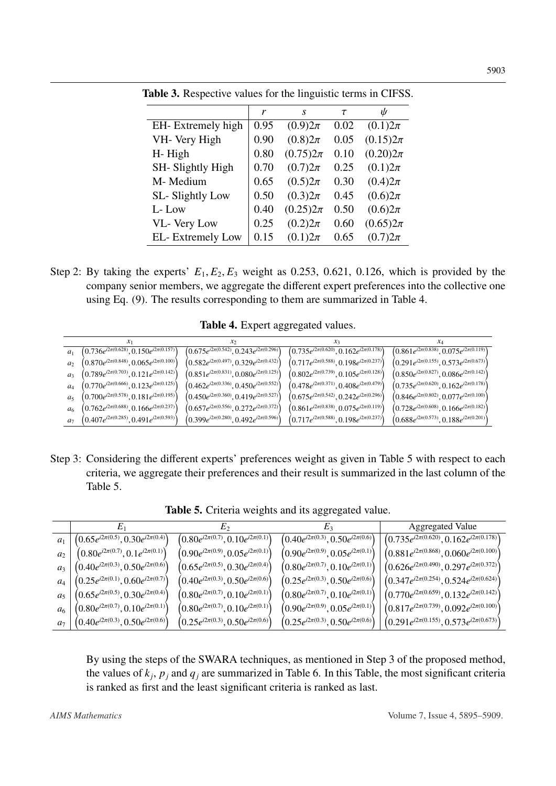|                   | r    | S            | τ    | ψ            |
|-------------------|------|--------------|------|--------------|
| EH-Extremely high | 0.95 | $(0.9)2\pi$  | 0.02 | $(0.1)2\pi$  |
| VH- Very High     | 0.90 | $(0.8)2\pi$  | 0.05 | $(0.15)2\pi$ |
| H-High            | 0.80 | $(0.75)2\pi$ | 0.10 | $(0.20)2\pi$ |
| SH-Slightly High  | 0.70 | $(0.7)2\pi$  | 0.25 | $(0.1)2\pi$  |
| M-Medium          | 0.65 | $(0.5)2\pi$  | 0.30 | $(0.4)2\pi$  |
| SL-Slightly Low   | 0.50 | $(0.3)2\pi$  | 0.45 | $(0.6)2\pi$  |
| L-Low             | 0.40 | $(0.25)2\pi$ | 0.50 | $(0.6)2\pi$  |
| VL- Very Low      | 0.25 | $(0.2)2\pi$  | 0.60 | $(0.65)2\pi$ |
| EL-Extremely Low  | 0.15 | $(0.1)2\pi$  | 0.65 | $(0.7)2\pi$  |
|                   |      |              |      |              |

<span id="page-8-0"></span>Table 3. Respective values for the linguistic terms in CIFSS.

Step 2: By taking the experts'  $E_1, E_2, E_3$  weight as 0.253, 0.621, 0.126, which is provided by the company senior members, we aggregate the different expert preferences into the collective one using Eq. [\(9\)](#page-4-0). The results corresponding to them are summarized in Table [4.](#page-8-1)

Table 4. Expert aggregated values.

<span id="page-8-1"></span>

|                | $x_1$                                            | $x_2$                                            | $x_3$                                            |                                                  |
|----------------|--------------------------------------------------|--------------------------------------------------|--------------------------------------------------|--------------------------------------------------|
| a <sub>1</sub> | $(0.736e^{i2\pi(0.628)}, 0.150e^{i2\pi(0.157)})$ | $(0.675e^{i2\pi(0.542)}, 0.243e^{i2\pi(0.296)})$ | $(0.735e^{i2\pi(0.620)}, 0.162e^{i2\pi(0.178)})$ | $(0.861e^{i2\pi(0.838)}, 0.075e^{i2\pi(0.119)})$ |
| a <sub>2</sub> | $(0.870e^{i2\pi(0.848)}, 0.065e^{i2\pi(0.100)})$ | $(0.582e^{i2\pi(0.497)}, 0.329e^{i2\pi(0.432)})$ | $(0.717e^{i2\pi(0.588)}, 0.198e^{i2\pi(0.237)})$ | $(0.291e^{i2\pi(0.155)}, 0.573e^{i2\pi(0.673)})$ |
| $a_3$          | $(0.789e^{i2\pi(0.703)}, 0.121e^{i2\pi(0.142)})$ | $(0.851e^{i2\pi(0.831)}, 0.080e^{i2\pi(0.125)})$ | $(0.802e^{i2\pi(0.739)}, 0.105e^{i2\pi(0.128)})$ | $(0.850e^{i2\pi(0.827)}, 0.086e^{i2\pi(0.142)})$ |
| $a_4$          | $(0.770e^{i2\pi(0.666)}, 0.123e^{i2\pi(0.125)})$ | $(0.462e^{i2\pi(0.336)}, 0.450e^{i2\pi(0.552)})$ | $(0.478e^{i2\pi(0.371)}, 0.408e^{i2\pi(0.479)})$ | $(0.735e^{i2\pi(0.620)}, 0.162e^{i2\pi(0.178)})$ |
| $a_5$          | $(0.700e^{i2\pi(0.578)}, 0.181e^{i2\pi(0.195)})$ | $(0.450e^{i2\pi(0.360)}, 0.419e^{i2\pi(0.527)}$  | $(0.675e^{i2\pi(0.542)}, 0.242e^{i2\pi(0.296)})$ | $(0.846e^{i2\pi(0.802)}, 0.077e^{i2\pi(0.100)})$ |
| $a_6$          | $(0.762e^{i2\pi(0.688)}, 0.166e^{i2\pi(0.237)})$ | $(0.657e^{i2\pi(0.556)}, 0.272e^{i2\pi(0.372)})$ | $(0.861e^{i2\pi(0.838)}, 0.075e^{i2\pi(0.119)})$ | $(0.728e^{i2\pi(0.608)}, 0.166e^{i2\pi(0.182)})$ |
| $a_7$          | $(0.407e^{i2\pi(0.285)}, 0.491e^{i2\pi(0.593)})$ | $(0.399e^{i2\pi(0.280)}, 0.492e^{i2\pi(0.596)})$ | $(0.717e^{i2\pi(0.588)}, 0.198e^{i2\pi(0.237)})$ | $(0.688e^{i2\pi(0.573)}, 0.188e^{i2\pi(0.201)})$ |
|                |                                                  |                                                  |                                                  |                                                  |

Step 3: Considering the different experts' preferences weight as given in Table [5](#page-8-2) with respect to each criteria, we aggregate their preferences and their result is summarized in the last column of the Table [5.](#page-8-2)

Table 5. Criteria weights and its aggregated value.

<span id="page-8-2"></span>

|       |                                            | $E_2$                                      | $E_3$                                                | Aggregated Value                                 |  |  |
|-------|--------------------------------------------|--------------------------------------------|------------------------------------------------------|--------------------------------------------------|--|--|
| $a_1$ | $(0.65e^{i2\pi(0.5)}, 0.30e^{i2\pi(0.4)})$ | $(0.80e^{i2\pi(0.7)}, 0.10e^{i2\pi(0.1)})$ | $(0.40e^{i2\pi(0.3)}, 0.50e^{i2\pi(0.6)})$           | $(0.735e^{i2\pi(0.620)}, 0.162e^{i2\pi(0.178)})$ |  |  |
| $a_2$ | $(0.80e^{i2\pi(0.7)}, 0.1e^{i2\pi(0.1)})$  | $(0.90e^{i2\pi(0.9)}, 0.05e^{i2\pi(0.1)})$ | $(0.90e^{i2\pi(0.9)}, 0.05e^{i2\pi(0.1)})$           | $(0.881e^{i2\pi(0.868)}, 0.060e^{i2\pi(0.100)})$ |  |  |
| $a_3$ | $(0.40e^{i2\pi(0.3)}, 0.50e^{i2\pi(0.6)})$ | $(0.65e^{i2\pi(0.5)}, 0.30e^{i2\pi(0.4)})$ | $(0.80e^{i2\pi(0.7)}, 0.10e^{i2\pi(0.1)})$           | $(0.626e^{i2\pi(0.490)}, 0.297e^{i2\pi(0.372)})$ |  |  |
| $a_4$ | $(0.25e^{i2\pi(0.1)}, 0.60e^{i2\pi(0.7)})$ | $(0.40e^{i2\pi(0.3)}, 0.50e^{i2\pi(0.6)})$ | $(0.25e^{i2\pi(0.3)}, 0.50e^{i2\pi(0.6)})$           | $(0.347e^{i2\pi(0.254)}, 0.524e^{i2\pi(0.624)})$ |  |  |
| $a_5$ | $(0.65e^{i2\pi(0.5)}, 0.30e^{i2\pi(0.4)})$ | $(0.80e^{i2\pi(0.7)}, 0.10e^{i2\pi(0.1)})$ | $(0.80e^{i2\pi(0.7)}, 0.10e^{i2\pi(0.1)})$           | $(0.770e^{i2\pi(0.659)}, 0.132e^{i2\pi(0.142)})$ |  |  |
| $a_6$ | $(0.80e^{i2\pi(0.7)}, 0.10e^{i2\pi(0.1)})$ | $(0.80e^{i2\pi(0.7)}, 0.10e^{i2\pi(0.1)})$ | $(0.90e^{i2\pi(0.9)}, 0.05e^{i2\pi(0.1)})$           | $(0.817e^{i2\pi(0.739)}, 0.092e^{i2\pi(0.100)})$ |  |  |
| $a_7$ | $(0.40e^{i2\pi(0.3)}, 0.50e^{i2\pi(0.6)})$ | $(0.25e^{i2\pi(0.3)}, 0.50e^{i2\pi(0.6)})$ | $\left(0.25e^{i2\pi(0.3)},0.50e^{i2\pi(0.6)}\right)$ | $(0.291e^{i2\pi(0.155)}, 0.573e^{i2\pi(0.673)})$ |  |  |

By using the steps of the SWARA techniques, as mentioned in Step 3 of the proposed method, the values of *k<sup>j</sup>* , *p<sup>j</sup>* and *q<sup>j</sup>* are summarized in Table [6.](#page-9-0) In this Table, the most significant criteria is ranked as first and the least significant criteria is ranked as last.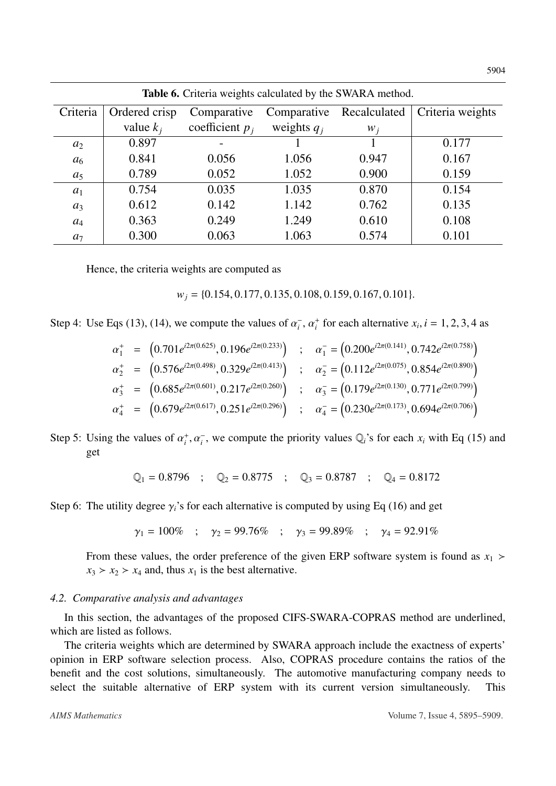<span id="page-9-0"></span>

| <b>Table 6.</b> Criteria weights calculated by the SWARA method. |               |                   |               |              |                  |  |  |  |
|------------------------------------------------------------------|---------------|-------------------|---------------|--------------|------------------|--|--|--|
| Criteria                                                         | Ordered crisp | Comparative       | Comparative   | Recalculated | Criteria weights |  |  |  |
|                                                                  | value $k_i$   | coefficient $p_i$ | weights $q_i$ | $W_i$        |                  |  |  |  |
| a <sub>2</sub>                                                   | 0.897         |                   |               |              | 0.177            |  |  |  |
| a <sub>6</sub>                                                   | 0.841         | 0.056             | 1.056         | 0.947        | 0.167            |  |  |  |
| $a_5$                                                            | 0.789         | 0.052             | 1.052         | 0.900        | 0.159            |  |  |  |
| $a_1$                                                            | 0.754         | 0.035             | 1.035         | 0.870        | 0.154            |  |  |  |
| $a_3$                                                            | 0.612         | 0.142             | 1.142         | 0.762        | 0.135            |  |  |  |
| $a_4$                                                            | 0.363         | 0.249             | 1.249         | 0.610        | 0.108            |  |  |  |
| $a_7$                                                            | 0.300         | 0.063             | 1.063         | 0.574        | 0.101            |  |  |  |

Hence, the criteria weights are computed as

*<sup>w</sup><sup>j</sup>* <sup>=</sup> {0.154, <sup>0</sup>.177, <sup>0</sup>.135, <sup>0</sup>.108, <sup>0</sup>.159, <sup>0</sup>.167, <sup>0</sup>.101}.

Step 4: Use Eqs [\(13\)](#page-5-1), [\(14\)](#page-5-2), we compute the values of  $\alpha_i^ \overline{i}$ ,  $\alpha_i^+$  for each alternative  $x_i$ ,  $i = 1, 2, 3, 4$  as

$$
\alpha_1^+ = (0.701e^{i2\pi(0.625)}, 0.196e^{i2\pi(0.233)}) \quad ; \quad \alpha_1^- = (0.200e^{i2\pi(0.141)}, 0.742e^{i2\pi(0.758)})
$$
\n
$$
\alpha_2^+ = (0.576e^{i2\pi(0.498)}, 0.329e^{i2\pi(0.413)}) \quad ; \quad \alpha_2^- = (0.112e^{i2\pi(0.075)}, 0.854e^{i2\pi(0.890)})
$$
\n
$$
\alpha_3^+ = (0.685e^{i2\pi(0.601)}, 0.217e^{i2\pi(0.260)}) \quad ; \quad \alpha_3^- = (0.179e^{i2\pi(0.130)}, 0.771e^{i2\pi(0.799)})
$$
\n
$$
\alpha_4^+ = (0.679e^{i2\pi(0.617)}, 0.251e^{i2\pi(0.296)}) \quad ; \quad \alpha_4^- = (0.230e^{i2\pi(0.173)}, 0.694e^{i2\pi(0.706)})
$$

Step 5: Using the values of  $\alpha_i^+$ ,  $\alpha_i^-$ , we compute the priority values  $\mathbb{Q}_i$ 's for each  $x_i$  with Eq [\(15\)](#page-5-3) and get

$$
\mathbb{Q}_1 = 0.8796
$$
 ;  $\mathbb{Q}_2 = 0.8775$  ;  $\mathbb{Q}_3 = 0.8787$  ;  $\mathbb{Q}_4 = 0.8172$ 

Step 6: The utility degree  $\gamma_i$ 's for each alternative is computed by using Eq [\(16\)](#page-5-4) and get

$$
\gamma_1 = 100\%
$$
 ;  $\gamma_2 = 99.76\%$  ;  $\gamma_3 = 99.89\%$  ;  $\gamma_4 = 92.91\%$ 

From these values, the order preference of the given ERP software system is found as  $x_1$  >  $x_3 > x_2 > x_4$  and, thus  $x_1$  is the best alternative.

### *4.2. Comparative analysis and advantages*

In this section, the advantages of the proposed CIFS-SWARA-COPRAS method are underlined, which are listed as follows.

The criteria weights which are determined by SWARA approach include the exactness of experts' opinion in ERP software selection process. Also, COPRAS procedure contains the ratios of the benefit and the cost solutions, simultaneously. The automotive manufacturing company needs to select the suitable alternative of ERP system with its current version simultaneously. This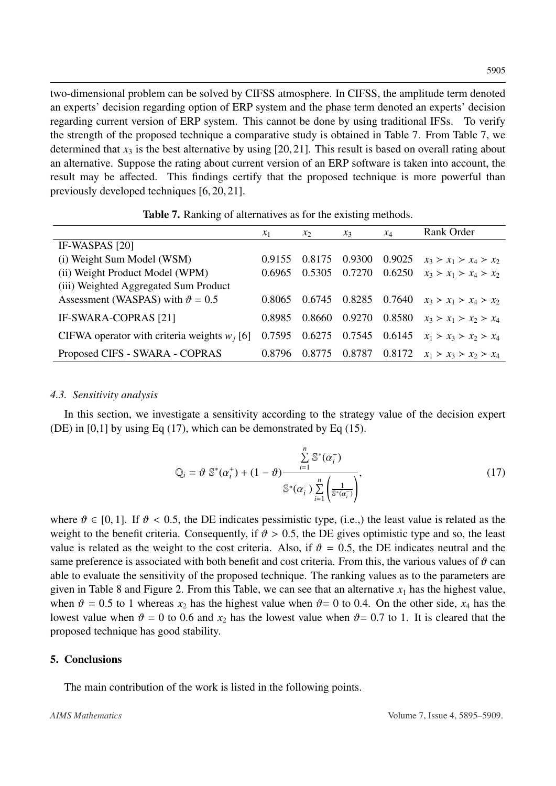two-dimensional problem can be solved by CIFSS atmosphere. In CIFSS, the amplitude term denoted an experts' decision regarding option of ERP system and the phase term denoted an experts' decision regarding current version of ERP system. This cannot be done by using traditional IFSs. To verify the strength of the proposed technique a comparative study is obtained in Table [7.](#page-10-1) From Table [7,](#page-10-1) we determined that  $x_3$  is the best alternative by using [\[20,](#page-13-4) [21\]](#page-13-12). This result is based on overall rating about an alternative. Suppose the rating about current version of an ERP software is taken into account, the result may be affected. This findings certify that the proposed technique is more powerful than previously developed techniques [\[6,](#page-12-3) [20,](#page-13-4) [21\]](#page-13-12).

<span id="page-10-1"></span>

|                                                | $x_1$  | $x_2$  | $x_3$  | $x_4$  | Rank Order              |
|------------------------------------------------|--------|--------|--------|--------|-------------------------|
| IF-WASPAS [20]                                 |        |        |        |        |                         |
| (i) Weight Sum Model (WSM)                     | 0.9155 | 0.8175 | 0.9300 | 0.9025 | $x_3 > x_1 > x_4 > x_2$ |
| (ii) Weight Product Model (WPM)                | 0.6965 | 0.5305 | 0.7270 | 0.6250 | $x_3 > x_1 > x_4 > x_2$ |
| (iii) Weighted Aggregated Sum Product          |        |        |        |        |                         |
| Assessment (WASPAS) with $\vartheta = 0.5$     | 0.8065 | 0.6745 | 0.8285 | 0.7640 | $x_3 > x_1 > x_4 > x_2$ |
| IF-SWARA-COPRAS [21]                           | 0.8985 | 0.8660 | 0.9270 | 0.8580 | $x_3 > x_1 > x_2 > x_4$ |
| CIFWA operator with criteria weights $w_i$ [6] | 0.7595 | 0.6275 | 0.7545 | 0.6145 | $x_1 > x_3 > x_2 > x_4$ |
| Proposed CIFS - SWARA - COPRAS                 | 0.8796 | 0.8775 | 0.8787 | 0.8172 | $x_1 > x_3 > x_2 > x_4$ |

Table 7. Ranking of alternatives as for the existing methods.

### *4.3. Sensitivity analysis*

In this section, we investigate a sensitivity according to the strategy value of the decision expert (DE) in  $[0,1]$  by using Eq [\(17\)](#page-10-2), which can be demonstrated by Eq [\(15\)](#page-5-3).

<span id="page-10-2"></span>
$$
Q_i = \vartheta \; \mathbb{S}^*(\alpha_i^+) + (1 - \vartheta) \frac{\sum\limits_{i=1}^n \mathbb{S}^*(\alpha_i^-)}{\mathbb{S}^*(\alpha_i^-) \sum\limits_{i=1}^n \left(\frac{1}{\mathbb{S}^*(\alpha_i^-)}\right)},\tag{17}
$$

where  $\vartheta \in [0, 1]$ . If  $\vartheta < 0.5$ , the DE indicates pessimistic type, (i.e.,) the least value is related as the weight to the benefit criteria. Consequently, if  $\vartheta > 0.5$ , the DE gives optimistic type and so, the least value is related as the weight to the cost criteria. Also, if  $\vartheta = 0.5$ , the DE indicates neutral and the same preference is associated with both benefit and cost criteria. From this, the various values of  $\vartheta$  can able to evaluate the sensitivity of the proposed technique. The ranking values as to the parameters are given in Table [8](#page-11-0) and Figure [2.](#page-11-1) From this Table, we can see that an alternative  $x_1$  has the highest value, when  $\vartheta = 0.5$  to 1 whereas  $x_2$  has the highest value when  $\vartheta = 0$  to 0.4. On the other side,  $x_4$  has the lowest value when  $\vartheta = 0$  to 0.6 and  $x_2$  has the lowest value when  $\vartheta = 0.7$  to 1. It is cleared that the proposed technique has good stability.

### <span id="page-10-0"></span>5. Conclusions

The main contribution of the work is listed in the following points.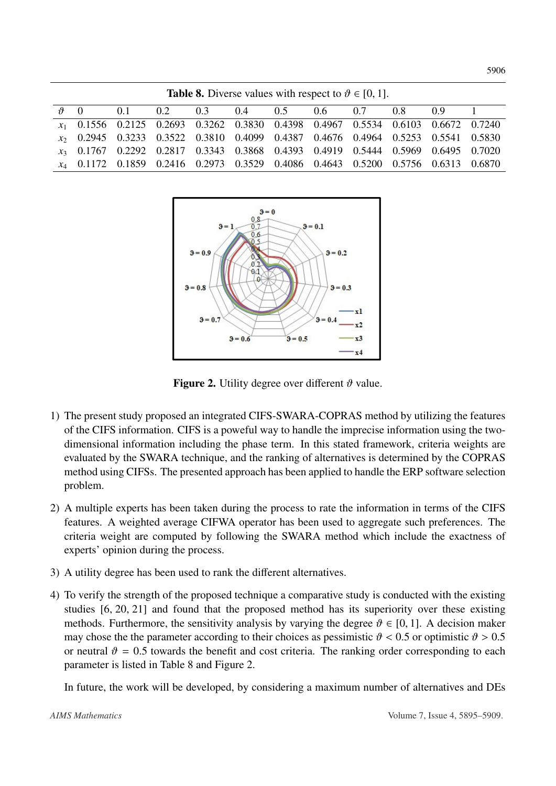<span id="page-11-1"></span><span id="page-11-0"></span>

| <b>Table 8.</b> Diverse values with respect to $\vartheta \in [0, 1]$ . |                    |  |                                                                                                    |  |  |  |  |  |  |  |
|-------------------------------------------------------------------------|--------------------|--|----------------------------------------------------------------------------------------------------|--|--|--|--|--|--|--|
|                                                                         | $\vartheta \neq 0$ |  | $0.1$ $0.2$ $0.3$ $0.4$ $0.5$ $0.6$ $0.7$ $0.8$ $0.9$                                              |  |  |  |  |  |  |  |
|                                                                         |                    |  | <i>x</i> <sub>1</sub> 0.1556 0.2125 0.2693 0.3262 0.3830 0.4398 0.4967 0.5534 0.6103 0.6672 0.7240 |  |  |  |  |  |  |  |
|                                                                         |                    |  | <i>x</i> <sub>2</sub> 0.2945 0.3233 0.3522 0.3810 0.4099 0.4387 0.4676 0.4964 0.5253 0.5541 0.5830 |  |  |  |  |  |  |  |
|                                                                         |                    |  | x <sub>3</sub> 0.1767 0.2292 0.2817 0.3343 0.3868 0.4393 0.4919 0.5444 0.5969 0.6495 0.7020        |  |  |  |  |  |  |  |
|                                                                         |                    |  | <i>x</i> <sub>4</sub> 0.1172 0.1859 0.2416 0.2973 0.3529 0.4086 0.4643 0.5200 0.5756 0.6313 0.6870 |  |  |  |  |  |  |  |



Figure 2. Utility degree over different  $\vartheta$  value.

- 1) The present study proposed an integrated CIFS-SWARA-COPRAS method by utilizing the features of the CIFS information. CIFS is a poweful way to handle the imprecise information using the twodimensional information including the phase term. In this stated framework, criteria weights are evaluated by the SWARA technique, and the ranking of alternatives is determined by the COPRAS method using CIFSs. The presented approach has been applied to handle the ERP software selection problem.
- 2) A multiple experts has been taken during the process to rate the information in terms of the CIFS features. A weighted average CIFWA operator has been used to aggregate such preferences. The criteria weight are computed by following the SWARA method which include the exactness of experts' opinion during the process.
- 3) A utility degree has been used to rank the different alternatives.
- 4) To verify the strength of the proposed technique a comparative study is conducted with the existing studies [\[6,](#page-12-3) [20,](#page-13-4) [21\]](#page-13-12) and found that the proposed method has its superiority over these existing methods. Furthermore, the sensitivity analysis by varying the degree  $\vartheta \in [0, 1]$ . A decision maker may chose the the parameter according to their choices as pessimistic  $\vartheta$  < 0.5 or optimistic  $\vartheta$  > 0.5 or neutral  $\vartheta = 0.5$  towards the benefit and cost criteria. The ranking order corresponding to each parameter is listed in Table [8](#page-11-0) and Figure [2.](#page-11-1)

In future, the work will be developed, by considering a maximum number of alternatives and DEs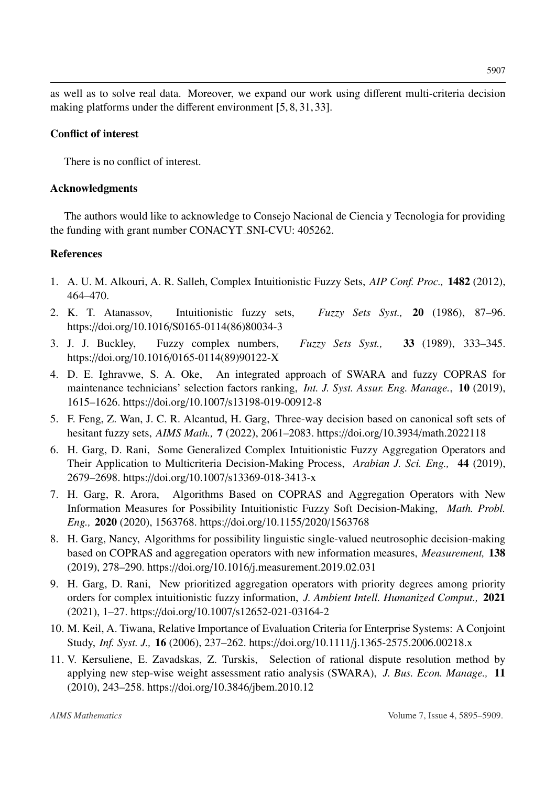as well as to solve real data. Moreover, we expand our work using different multi-criteria decision making platforms under the different environment [\[5,](#page-12-9) [8,](#page-12-10) [31,](#page-14-11) [33\]](#page-14-12).

# Conflict of interest

There is no conflict of interest.

# Acknowledgments

The authors would like to acknowledge to Consejo Nacional de Ciencia y Tecnologia for providing the funding with grant number CONACYT SNI-CVU: 405262.

# References

- <span id="page-12-2"></span>1. A. U. M. Alkouri, A. R. Salleh, Complex Intuitionistic Fuzzy Sets, *AIP Conf. Proc.,* 1482 (2012), 464–470.
- <span id="page-12-0"></span>2. K. T. Atanassov, Intuitionistic fuzzy sets, *Fuzzy Sets Syst.,* 20 (1986), 87–96. https://doi.org/10.1016/[S0165-0114\(86\)80034-3](http://dx.doi.org/https://doi.org/10.1016/S0165-0114(86)80034-3)
- <span id="page-12-1"></span>3. J. J. Buckley, Fuzzy complex numbers, *Fuzzy Sets Syst.,* 33 (1989), 333–345. https://doi.org/10.1016/[0165-0114\(89\)90122-X](http://dx.doi.org/https://doi.org/10.1016/0165-0114(89)90122-X)
- <span id="page-12-7"></span>4. D. E. Ighravwe, S. A. Oke, An integrated approach of SWARA and fuzzy COPRAS for maintenance technicians' selection factors ranking, *Int. J. Syst. Assur. Eng. Manage.*, 10 (2019), 1615–1626. https://doi.org/10.1007/[s13198-019-00912-8](http://dx.doi.org/https://doi.org/10.1007/s13198-019-00912-8)
- <span id="page-12-9"></span>5. F. Feng, Z. Wan, J. C. R. Alcantud, H. Garg, Three-way decision based on canonical soft sets of hesitant fuzzy sets, *AIMS Math.,* 7 (2022), 2061–2083. https://doi.org/10.3934/[math.2022118](http://dx.doi.org/https://doi.org/10.3934/math.2022118)
- <span id="page-12-3"></span>6. H. Garg, D. Rani, Some Generalized Complex Intuitionistic Fuzzy Aggregation Operators and Their Application to Multicriteria Decision-Making Process, *Arabian J. Sci. Eng.,* 44 (2019), 2679–2698. https://doi.org/10.1007/[s13369-018-3413-x](http://dx.doi.org/https://doi.org/10.1007/s13369-018-3413-x)
- <span id="page-12-5"></span>7. H. Garg, R. Arora, Algorithms Based on COPRAS and Aggregation Operators with New Information Measures for Possibility Intuitionistic Fuzzy Soft Decision-Making, *Math. Probl. Eng.,* 2020 (2020), 1563768. https://doi.org/10.1155/2020/[1563768](http://dx.doi.org/https://doi.org/10.1155/2020/1563768)
- <span id="page-12-10"></span>8. H. Garg, Nancy, Algorithms for possibility linguistic single-valued neutrosophic decision-making based on COPRAS and aggregation operators with new information measures, *Measurement,* 138 (2019), 278–290. https://doi.org/10.1016/[j.measurement.2019.02.031](http://dx.doi.org/https://doi.org/10.1016/j.measurement.2019.02.031)
- <span id="page-12-4"></span>9. H. Garg, D. Rani, New prioritized aggregation operators with priority degrees among priority orders for complex intuitionistic fuzzy information, *J. Ambient Intell. Humanized Comput.,* 2021 (2021), 1–27. https://doi.org/10.1007/[s12652-021-03164-2](http://dx.doi.org/https://doi.org/10.1007/s12652-021-03164-2)
- <span id="page-12-8"></span>10. M. Keil, A. Tiwana, Relative Importance of Evaluation Criteria for Enterprise Systems: A Conjoint Study, *Inf. Syst. J.,* 16 (2006), 237–262. https://doi.org/10.1111/[j.1365-2575.2006.00218.x](http://dx.doi.org/https://doi.org/10.1111/j.1365-2575.2006.00218.x)
- <span id="page-12-6"></span>11. V. Kersuliene, E. Zavadskas, Z. Turskis, Selection of rational dispute resolution method by applying new step-wise weight assessment ratio analysis (SWARA), *J. Bus. Econ. Manage.,* 11 (2010), 243–258. https://doi.org/10.3846/[jbem.2010.12](http://dx.doi.org/https://doi.org/10.3846/jbem.2010.12)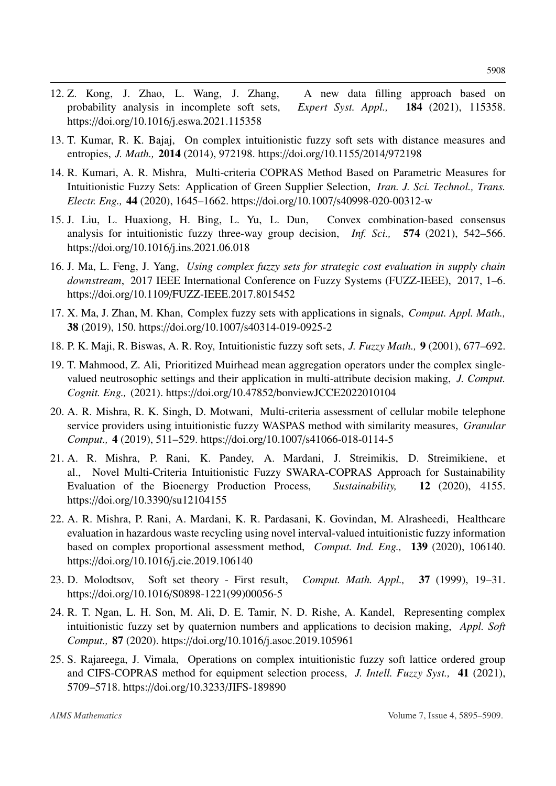- <span id="page-13-2"></span>12. Z. Kong, J. Zhao, L. Wang, J. Zhang, A new data filling approach based on probability analysis in incomplete soft sets, *Expert Syst. Appl.,* 184 (2021), 115358. https://doi.org/10.1016/[j.eswa.2021.115358](http://dx.doi.org/https://doi.org/10.1016/j.eswa.2021.115358)
- <span id="page-13-5"></span>13. T. Kumar, R. K. Bajaj, On complex intuitionistic fuzzy soft sets with distance measures and entropies, *J. Math.,* 2014 (2014), 972198. https://doi.org/[10.1155](http://dx.doi.org/https://doi.org/10.1155/2014/972198)/2014/972198
- <span id="page-13-10"></span>14. R. Kumari, A. R. Mishra, Multi-criteria COPRAS Method Based on Parametric Measures for Intuitionistic Fuzzy Sets: Application of Green Supplier Selection, *Iran. J. Sci. Technol., Trans. Electr. Eng.,* 44 (2020), 1645–1662. https://doi.org/10.1007/[s40998-020-00312-w](http://dx.doi.org/https://doi.org/10.1007/s40998-020-00312-w)
- <span id="page-13-3"></span>15. J. Liu, L. Huaxiong, H. Bing, L. Yu, L. Dun, Convex combination-based consensus analysis for intuitionistic fuzzy three-way group decision, *Inf. Sci.,* 574 (2021), 542–566. https://doi.org/10.1016/[j.ins.2021.06.018](http://dx.doi.org/https://doi.org/10.1016/j.ins.2021.06.018)
- <span id="page-13-6"></span>16. J. Ma, L. Feng, J. Yang, *Using complex fuzzy sets for strategic cost evaluation in supply chain downstream*, 2017 IEEE International Conference on Fuzzy Systems (FUZZ-IEEE), 2017, 1–6. https://doi.org/10.1109/[FUZZ-IEEE.2017.8015452](http://dx.doi.org/https://doi.org/10.1109/FUZZ-IEEE.2017.8015452)
- <span id="page-13-7"></span>17. X. Ma, J. Zhan, M. Khan, Complex fuzzy sets with applications in signals, *Comput. Appl. Math.,* 38 (2019), 150. https://doi.org/10.1007/[s40314-019-0925-2](http://dx.doi.org/https://doi.org/10.1007/s40314-019-0925-2)
- <span id="page-13-1"></span>18. P. K. Maji, R. Biswas, A. R. Roy, Intuitionistic fuzzy soft sets, *J. Fuzzy Math.,* 9 (2001), 677–692.
- <span id="page-13-8"></span>19. T. Mahmood, Z. Ali, Prioritized Muirhead mean aggregation operators under the complex singlevalued neutrosophic settings and their application in multi-attribute decision making, *J. Comput. Cognit. Eng.,* (2021). https://doi.org/10.47852/[bonviewJCCE2022010104](http://dx.doi.org/https://doi.org/10.47852/bonviewJCCE2022010104)
- <span id="page-13-4"></span>20. A. R. Mishra, R. K. Singh, D. Motwani, Multi-criteria assessment of cellular mobile telephone service providers using intuitionistic fuzzy WASPAS method with similarity measures, *Granular Comput.,* 4 (2019), 511–529. https://doi.org/10.1007/[s41066-018-0114-5](http://dx.doi.org/https://doi.org/10.1007/s41066-018-0114-5)
- <span id="page-13-12"></span>21. A. R. Mishra, P. Rani, K. Pandey, A. Mardani, J. Streimikis, D. Streimikiene, et al., Novel Multi-Criteria Intuitionistic Fuzzy SWARA-COPRAS Approach for Sustainability Evaluation of the Bioenergy Production Process, *Sustainability,* 12 (2020), 4155. https://doi.org/10.3390/[su12104155](http://dx.doi.org/https://doi.org/10.3390/su12104155)
- <span id="page-13-11"></span>22. A. R. Mishra, P. Rani, A. Mardani, K. R. Pardasani, K. Govindan, M. Alrasheedi, Healthcare evaluation in hazardous waste recycling using novel interval-valued intuitionistic fuzzy information based on complex proportional assessment method, *Comput. Ind. Eng.,* 139 (2020), 106140. https://doi.org/10.1016/[j.cie.2019.106140](http://dx.doi.org/https://doi.org/10.1016/j.cie.2019.106140)
- <span id="page-13-0"></span>23. D. Molodtsov, Soft set theory - First result, *Comput. Math. Appl.,* 37 (1999), 19–31. https://doi.org/10.1016/[S0898-1221\(99\)00056-5](http://dx.doi.org/https://doi.org/10.1016/S0898-1221(99)00056-5)
- <span id="page-13-9"></span>24. R. T. Ngan, L. H. Son, M. Ali, D. E. Tamir, N. D. Rishe, A. Kandel, Representing complex intuitionistic fuzzy set by quaternion numbers and applications to decision making, *Appl. Soft Comput.,* 87 (2020). https://doi.org/10.1016/[j.asoc.2019.105961](http://dx.doi.org/https://doi.org/10.1016/j.asoc.2019.105961)
- 25. S. Rajareega, J. Vimala, Operations on complex intuitionistic fuzzy soft lattice ordered group and CIFS-COPRAS method for equipment selection process, *J. Intell. Fuzzy Syst.,* 41 (2021), 5709–5718. https://doi.org/10.3233/[JIFS-189890](http://dx.doi.org/https://doi.org/10.3233/JIFS-189890)